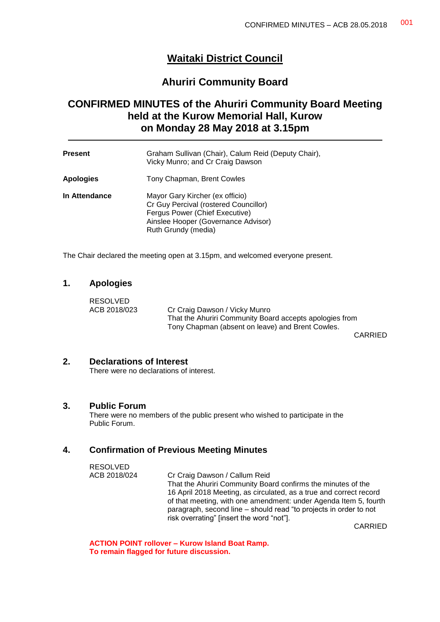# **Waitaki District Council**

# **Ahuriri Community Board**

# **CONFIRMED MINUTES of the Ahuriri Community Board Meeting held at the Kurow Memorial Hall, Kurow on Monday 28 May 2018 at 3.15pm**

| <b>Present</b>   | Graham Sullivan (Chair), Calum Reid (Deputy Chair),<br>Vicky Munro; and Cr Craig Dawson                                                                                  |
|------------------|--------------------------------------------------------------------------------------------------------------------------------------------------------------------------|
| <b>Apologies</b> | Tony Chapman, Brent Cowles                                                                                                                                               |
| In Attendance    | Mayor Gary Kircher (ex officio)<br>Cr Guy Percival (rostered Councillor)<br>Fergus Power (Chief Executive)<br>Ainslee Hooper (Governance Advisor)<br>Ruth Grundy (media) |

The Chair declared the meeting open at 3.15pm, and welcomed everyone present.

#### **1. Apologies**

RESOLVED

ACB 2018/023 Cr Craig Dawson / Vicky Munro That the Ahuriri Community Board accepts apologies from Tony Chapman (absent on leave) and Brent Cowles.

CARRIED

# **2. Declarations of Interest**

There were no declarations of interest.

#### **3. Public Forum**

 $R = R \cdot R \cdot R$ 

There were no members of the public present who wished to participate in the Public Forum.

#### **4. Confirmation of Previous Meeting Minutes**

| <b>RESOLVED</b> |                                                                    |
|-----------------|--------------------------------------------------------------------|
| ACB 2018/024    | Cr Craig Dawson / Callum Reid                                      |
|                 | That the Ahuriri Community Board confirms the minutes of the       |
|                 | 16 April 2018 Meeting, as circulated, as a true and correct record |
|                 | of that meeting, with one amendment: under Agenda Item 5, fourth   |
|                 | paragraph, second line – should read "to projects in order to not  |
|                 | risk overrating" [insert the word "not"].                          |
|                 |                                                                    |

CARRIED

**ACTION POINT rollover – Kurow Island Boat Ramp. To remain flagged for future discussion.**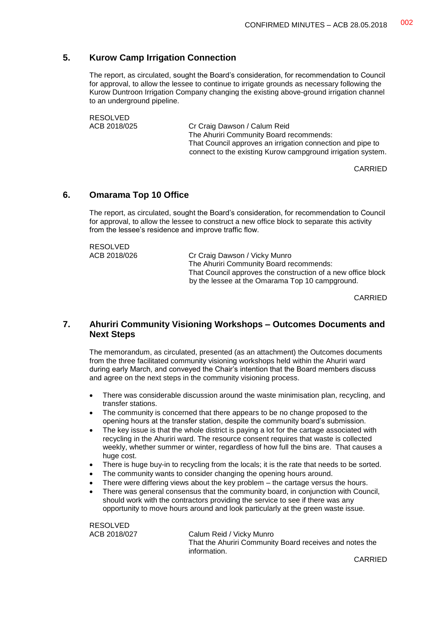# **5. Kurow Camp Irrigation Connection**

The report, as circulated, sought the Board's consideration, for recommendation to Council for approval, to allow the lessee to continue to irrigate grounds as necessary following the Kurow Duntroon Irrigation Company changing the existing above-ground irrigation channel to an underground pipeline.

RESOLVED

ACB 2018/025 Cr Craig Dawson / Calum Reid The Ahuriri Community Board recommends: That Council approves an irrigation connection and pipe to connect to the existing Kurow campground irrigation system.

CARRIED

#### **6. Omarama Top 10 Office**

The report, as circulated, sought the Board's consideration, for recommendation to Council for approval, to allow the lessee to construct a new office block to separate this activity from the lessee's residence and improve traffic flow.

RESOLVED<br>ACB 2018/026

Cr Craig Dawson / Vicky Munro The Ahuriri Community Board recommends: That Council approves the construction of a new office block by the lessee at the Omarama Top 10 campground.

CARRIED

# **7. Ahuriri Community Visioning Workshops – Outcomes Documents and Next Steps**

The memorandum, as circulated, presented (as an attachment) the Outcomes documents from the three facilitated community visioning workshops held within the Ahuriri ward during early March, and conveyed the Chair's intention that the Board members discuss and agree on the next steps in the community visioning process.

- There was considerable discussion around the waste minimisation plan, recycling, and transfer stations.
- The community is concerned that there appears to be no change proposed to the opening hours at the transfer station, despite the community board's submission.
- The key issue is that the whole district is paying a lot for the cartage associated with recycling in the Ahuriri ward. The resource consent requires that waste is collected weekly, whether summer or winter, regardless of how full the bins are. That causes a huge cost.
- There is huge buy-in to recycling from the locals; it is the rate that needs to be sorted.
- The community wants to consider changing the opening hours around.
- There were differing views about the key problem the cartage versus the hours.
- There was general consensus that the community board, in conjunction with Council, should work with the contractors providing the service to see if there was any opportunity to move hours around and look particularly at the green waste issue.

RESOLVED

ACB 2018/027 Calum Reid / Vicky Munro That the Ahuriri Community Board receives and notes the information.

CARRIED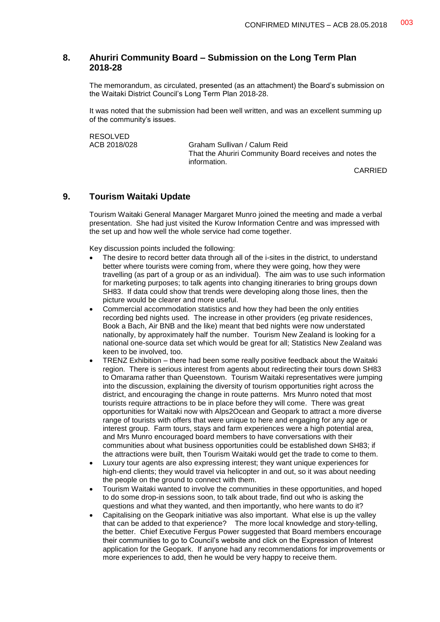# **8. Ahuriri Community Board – Submission on the Long Term Plan 2018-28**

The memorandum, as circulated, presented (as an attachment) the Board's submission on the Waitaki District Council's Long Term Plan 2018-28.

It was noted that the submission had been well written, and was an excellent summing up of the community's issues.

RESOLVED<br>ACB 2018/028

Graham Sullivan / Calum Reid That the Ahuriri Community Board receives and notes the information.

CARRIED

# **9. Tourism Waitaki Update**

Tourism Waitaki General Manager Margaret Munro joined the meeting and made a verbal presentation. She had just visited the Kurow Information Centre and was impressed with the set up and how well the whole service had come together.

Key discussion points included the following:

- The desire to record better data through all of the i-sites in the district, to understand better where tourists were coming from, where they were going, how they were travelling (as part of a group or as an individual). The aim was to use such information for marketing purposes; to talk agents into changing itineraries to bring groups down SH83. If data could show that trends were developing along those lines, then the picture would be clearer and more useful.
- Commercial accommodation statistics and how they had been the only entities recording bed nights used. The increase in other providers (eg private residences, Book a Bach, Air BNB and the like) meant that bed nights were now understated nationally, by approximately half the number. Tourism New Zealand is looking for a national one-source data set which would be great for all; Statistics New Zealand was keen to be involved, too.
- TRENZ Exhibition there had been some really positive feedback about the Waitaki region. There is serious interest from agents about redirecting their tours down SH83 to Omarama rather than Queenstown. Tourism Waitaki representatives were jumping into the discussion, explaining the diversity of tourism opportunities right across the district, and encouraging the change in route patterns. Mrs Munro noted that most tourists require attractions to be in place before they will come. There was great opportunities for Waitaki now with Alps2Ocean and Geopark to attract a more diverse range of tourists with offers that were unique to here and engaging for any age or interest group. Farm tours, stays and farm experiences were a high potential area, and Mrs Munro encouraged board members to have conversations with their communities about what business opportunities could be established down SH83; if the attractions were built, then Tourism Waitaki would get the trade to come to them.
- Luxury tour agents are also expressing interest; they want unique experiences for high-end clients; they would travel via helicopter in and out, so it was about needing the people on the ground to connect with them.
- Tourism Waitaki wanted to involve the communities in these opportunities, and hoped to do some drop-in sessions soon, to talk about trade, find out who is asking the questions and what they wanted, and then importantly, who here wants to do it?
- Capitalising on the Geopark initiative was also important. What else is up the valley that can be added to that experience? The more local knowledge and story-telling, the better. Chief Executive Fergus Power suggested that Board members encourage their communities to go to Council's website and click on the Expression of Interest application for the Geopark. If anyone had any recommendations for improvements or more experiences to add, then he would be very happy to receive them.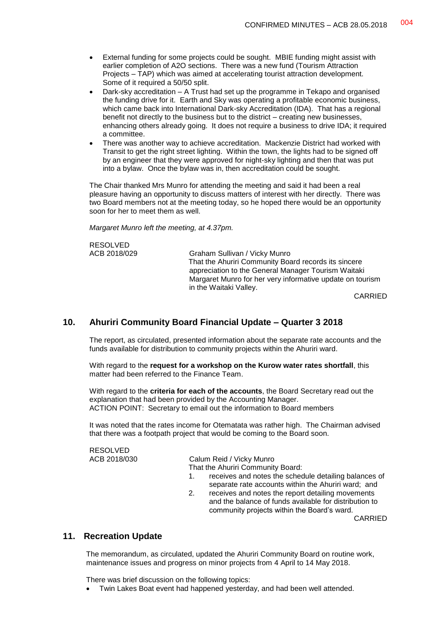- External funding for some projects could be sought. MBIE funding might assist with earlier completion of A2O sections. There was a new fund (Tourism Attraction Projects – TAP) which was aimed at accelerating tourist attraction development. Some of it required a 50/50 split.
- Dark-sky accreditation A Trust had set up the programme in Tekapo and organised the funding drive for it. Earth and Sky was operating a profitable economic business, which came back into International Dark-sky Accreditation (IDA). That has a regional benefit not directly to the business but to the district – creating new businesses, enhancing others already going. It does not require a business to drive IDA; it required a committee.
- There was another way to achieve accreditation. Mackenzie District had worked with Transit to get the right street lighting. Within the town, the lights had to be signed off by an engineer that they were approved for night-sky lighting and then that was put into a bylaw. Once the bylaw was in, then accreditation could be sought.

The Chair thanked Mrs Munro for attending the meeting and said it had been a real pleasure having an opportunity to discuss matters of interest with her directly. There was two Board members not at the meeting today, so he hoped there would be an opportunity soon for her to meet them as well.

*Margaret Munro left the meeting, at 4.37pm.*

| <b>RESOLVED</b> |                                                           |
|-----------------|-----------------------------------------------------------|
| ACB 2018/029    | Graham Sullivan / Vicky Munro                             |
|                 | That the Ahuriri Community Board records its sincere      |
|                 | appreciation to the General Manager Tourism Waitaki       |
|                 | Margaret Munro for her very informative update on tourism |
|                 | in the Waitaki Valley.                                    |
|                 | $\bigcap$                                                 |

CARRIED

# **10. Ahuriri Community Board Financial Update – Quarter 3 2018**

The report, as circulated, presented information about the separate rate accounts and the funds available for distribution to community projects within the Ahuriri ward.

With regard to the **request for a workshop on the Kurow water rates shortfall**, this matter had been referred to the Finance Team.

With regard to the **criteria for each of the accounts**, the Board Secretary read out the explanation that had been provided by the Accounting Manager. ACTION POINT: Secretary to email out the information to Board members

It was noted that the rates income for Otematata was rather high. The Chairman advised that there was a footpath project that would be coming to the Board soon.

# RESOLVED<br>ACB 2018/030

Calum Reid / Vicky Munro That the Ahuriri Community Board:

- 1. receives and notes the schedule detailing balances of separate rate accounts within the Ahuriri ward; and
- 2. receives and notes the report detailing movements and the balance of funds available for distribution to community projects within the Board's ward.

CARRIED

#### **11. Recreation Update**

The memorandum, as circulated, updated the Ahuriri Community Board on routine work, maintenance issues and progress on minor projects from 4 April to 14 May 2018.

There was brief discussion on the following topics:

Twin Lakes Boat event had happened yesterday, and had been well attended.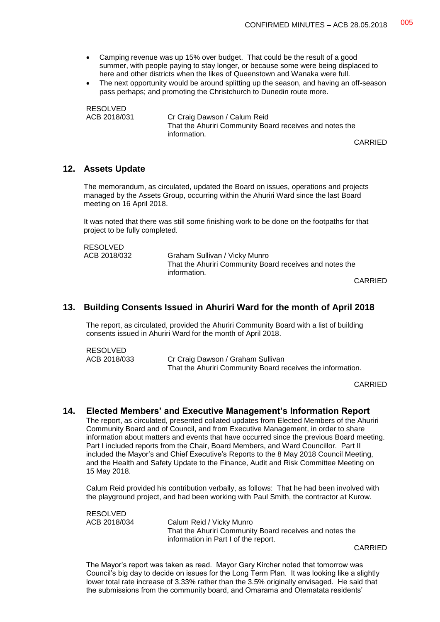- Camping revenue was up 15% over budget. That could be the result of a good summer, with people paying to stay longer, or because some were being displaced to here and other districts when the likes of Queenstown and Wanaka were full.
- The next opportunity would be around splitting up the season, and having an off-season pass perhaps; and promoting the Christchurch to Dunedin route more.

RESOLVED<br>ACB 2018/031

Cr Craig Dawson / Calum Reid That the Ahuriri Community Board receives and notes the information.

CARRIED

#### **12. Assets Update**

RESOLVED

The memorandum, as circulated, updated the Board on issues, operations and projects managed by the Assets Group, occurring within the Ahuriri Ward since the last Board meeting on 16 April 2018.

It was noted that there was still some finishing work to be done on the footpaths for that project to be fully completed.

| <b>RESOLVED</b> |                                                         |
|-----------------|---------------------------------------------------------|
| ACB 2018/032    | Graham Sullivan / Vicky Munro                           |
|                 | That the Ahuriri Community Board receives and notes the |
|                 | information.                                            |

CARRIED

#### **13. Building Consents Issued in Ahuriri Ward for the month of April 2018**

The report, as circulated, provided the Ahuriri Community Board with a list of building consents issued in Ahuriri Ward for the month of April 2018.

| <b>INLUULVLU</b> |                                                            |
|------------------|------------------------------------------------------------|
| ACB 2018/033     | Cr Craig Dawson / Graham Sullivan                          |
|                  | That the Ahuriri Community Board receives the information. |

CARRIED

#### **14. Elected Members' and Executive Management's Information Report**

The report, as circulated, presented collated updates from Elected Members of the Ahuriri Community Board and of Council, and from Executive Management, in order to share information about matters and events that have occurred since the previous Board meeting. Part I included reports from the Chair, Board Members, and Ward Councillor. Part II included the Mayor's and Chief Executive's Reports to the 8 May 2018 Council Meeting, and the Health and Safety Update to the Finance, Audit and Risk Committee Meeting on 15 May 2018.

Calum Reid provided his contribution verbally, as follows: That he had been involved with the playground project, and had been working with Paul Smith, the contractor at Kurow.

RESOLVED ACB 2018/034 Calum Reid / Vicky Munro That the Ahuriri Community Board receives and notes the information in Part I of the report.

CARRIED

The Mayor's report was taken as read. Mayor Gary Kircher noted that tomorrow was Council's big day to decide on issues for the Long Term Plan. It was looking like a slightly lower total rate increase of 3.33% rather than the 3.5% originally envisaged. He said that the submissions from the community board, and Omarama and Otematata residents'